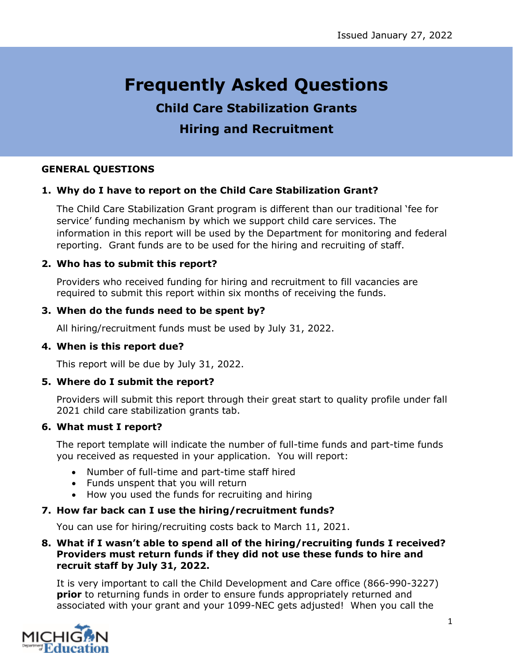# **Frequently Asked Questions**

## **Child Care Stabilization Grants Hiring and Recruitment**

#### **GENERAL QUESTIONS**

#### **1. Why do I have to report on the Child Care Stabilization Grant?**

The Child Care Stabilization Grant program is different than our traditional 'fee for service' funding mechanism by which we support child care services. The information in this report will be used by the Department for monitoring and federal reporting. Grant funds are to be used for the hiring and recruiting of staff.

#### **2. Who has to submit this report?**

Providers who received funding for hiring and recruitment to fill vacancies are required to submit this report within six months of receiving the funds.

#### **3. When do the funds need to be spent by?**

All hiring/recruitment funds must be used by July 31, 2022.

#### **4. When is this report due?**

This report will be due by July 31, 2022.

#### **5. Where do I submit the report?**

Providers will submit this report through their great start to quality profile under fall 2021 child care stabilization grants tab.

#### **6. What must I report?**

The report template will indicate the number of full-time funds and part-time funds you received as requested in your application. You will report:

- Number of full-time and part-time staff hired
- Funds unspent that you will return
- How you used the funds for recruiting and hiring

#### **7. How far back can I use the hiring/recruitment funds?**

You can use for hiring/recruiting costs back to March 11, 2021.

#### **8. What if I wasn't able to spend all of the hiring/recruiting funds I received? Providers must return funds if they did not use these funds to hire and recruit staff by July 31, 2022.**

It is very important to call the Child Development and Care office (866-990-3227) **prior** to returning funds in order to ensure funds appropriately returned and associated with your grant and your 1099-NEC gets adjusted! When you call the

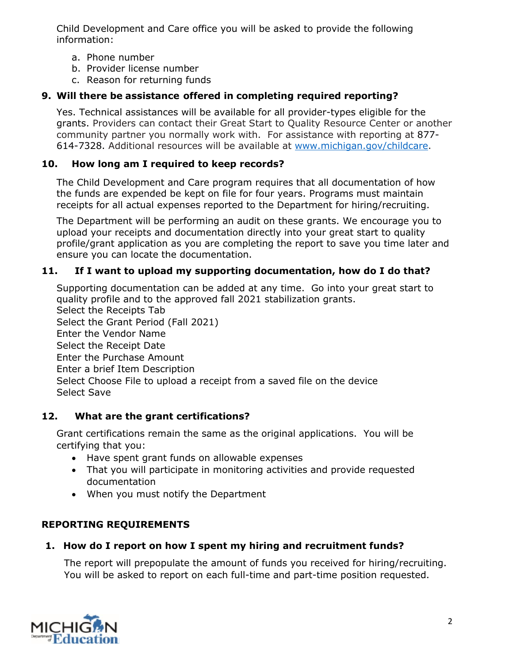Child Development and Care office you will be asked to provide the following information:

- a. Phone number
- b. Provider license number
- c. Reason for returning funds

## **9. Will there be assistance offered in completing required reporting?**

Yes. Technical assistances will be available for all provider-types eligible for the grants. Providers can contact their Great Start to Quality Resource Center or another community partner you normally work with. For assistance with reporting at 877- 614-7328. Additional resources will be available at [www.michigan.gov/childcare.](http://www.michigan.gov/childcare)

## **10. How long am I required to keep records?**

The Child Development and Care program requires that all documentation of how the funds are expended be kept on file for four years. Programs must maintain receipts for all actual expenses reported to the Department for hiring/recruiting.

The Department will be performing an audit on these grants. We encourage you to upload your receipts and documentation directly into your great start to quality profile/grant application as you are completing the report to save you time later and ensure you can locate the documentation.

## **11. If I want to upload my supporting documentation, how do I do that?**

Supporting documentation can be added at any time. Go into your great start to quality profile and to the approved fall 2021 stabilization grants. Select the Receipts Tab Select the Grant Period (Fall 2021) Enter the Vendor Name Select the Receipt Date Enter the Purchase Amount Enter a brief Item Description Select Choose File to upload a receipt from a saved file on the device Select Save

## **12. What are the grant certifications?**

Grant certifications remain the same as the original applications. You will be certifying that you:

- Have spent grant funds on allowable expenses
- That you will participate in monitoring activities and provide requested documentation
- When you must notify the Department

## **REPORTING REQUIREMENTS**

## **1. How do I report on how I spent my hiring and recruitment funds?**

The report will prepopulate the amount of funds you received for hiring/recruiting. You will be asked to report on each full-time and part-time position requested.